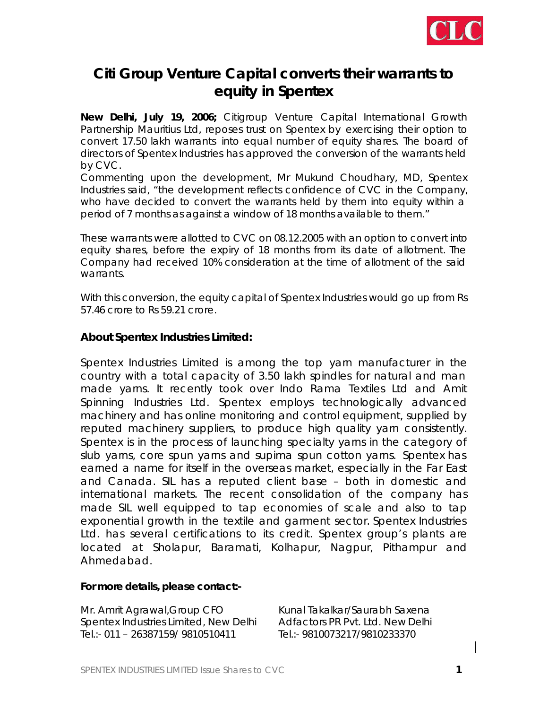

## **Citi Group Venture Capital converts their warrants to equity in Spentex**

**New Delhi, July 19, 2006;** Citigroup Venture Capital International Growth Partnership Mauritius Ltd, reposes trust on Spentex by exercising their option to convert 17.50 lakh warrants into equal number of equity shares. The board of directors of Spentex Industries has approved the conversion of the warrants held by CVC.

Commenting upon the development, Mr Mukund Choudhary, MD, Spentex Industries said, "the development reflects confidence of CVC in the Company, who have decided to convert the warrants held by them into equity within a period of 7 months as against a window of 18 months available to them."

These warrants were allotted to CVC on 08.12.2005 with an option to convert into equity shares, before the expiry of 18 months from its date of allotment. The Company had received 10% consideration at the time of allotment of the said warrants.

With this conversion, the equity capital of Spentex Industries would go up from Rs 57.46 crore to Rs 59.21 crore.

## **About Spentex Industries Limited:**

Spentex Industries Limited is among the top yarn manufacturer in the country with a total capacity of 3.50 lakh spindles for natural and man made yarns. It recently took over Indo Rama Textiles Ltd and Amit Spinning Industries Ltd. Spentex employs technologically advanced machinery and has online monitoring and control equipment, supplied by reputed machinery suppliers, to produce high quality yarn consistently. Spentex is in the process of launching specialty yarns in the category of slub yarns, core spun yarns and supima spun cotton yarns. Spentex has earned a name for itself in the overseas market, especially in the Far East and Canada. SIL has a reputed client base – both in domestic and international markets. The recent consolidation of the company has made SIL well equipped to tap economies of scale and also to tap exponential growth in the textile and garment sector. Spentex Industries Ltd. has several certifications to its credit. Spentex group's plants are located at Sholapur, Baramati, Kolhapur, Nagpur, Pithampur and Ahmedabad.

## **For more details, please contact:-**

Mr. Amrit Agrawal, Group CFO Kunal Takalkar/Saurabh Saxena Spentex Industries Limited, New Delhi Adfactors PR Pvt. Ltd. New Delhi Tel.:- 011 – 26387159/ 9810510411 Tel.:- 9810073217/9810233370